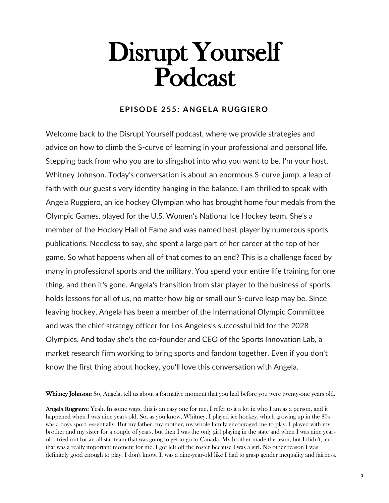## Disrupt Yourself Podcast

## **EPISODE 255: ANGELA RUGGIERO**

Welcome back to the Disrupt Yourself podcast, where we provide strategies and advice on how to climb the S-curve of learning in your professional and personal life. Stepping back from who you are to slingshot into who you want to be. I'm your host, Whitney Johnson. Today's conversation is about an enormous S-curve jump, a leap of faith with our guest's very identity hanging in the balance. I am thrilled to speak with Angela Ruggiero, an ice hockey Olympian who has brought home four medals from the Olympic Games, played for the U.S. Women's National Ice Hockey team. She's a member of the Hockey Hall of Fame and was named best player by numerous sports publications. Needless to say, she spent a large part of her career at the top of her game. So what happens when all of that comes to an end? This is a challenge faced by many in professional sports and the military. You spend your entire life training for one thing, and then it's gone. Angela's transition from star player to the business of sports holds lessons for all of us, no matter how big or small our S-curve leap may be. Since leaving hockey, Angela has been a member of the International Olympic Committee and was the chief strategy officer for Los Angeles's successful bid for the 2028 Olympics. And today she's the co-founder and CEO of the Sports Innovation Lab, a market research firm working to bring sports and fandom together. Even if you don't know the first thing about hockey, you'll love this conversation with Angela.

Whitney Johnson: So, Angela, tell us about a formative moment that you had before you were twenty-one years old.

Angela Ruggiero: Yeah. In some ways, this is an easy one for me, I refer to it a lot in who I am as a person, and it happened when I was nine years old. So, as you know, Whitney, I played ice hockey, which growing up in the 80s was a boys sport, essentially. But my father, my mother, my whole family encouraged me to play. I played with my brother and my sister for a couple of years, but then I was the only girl playing in the state and when I was nine years old, tried out for an all-star team that was going to get to go to Canada. My brother made the team, but I didn't, and that was a really important moment for me. I got left off the roster because I was a girl. No other reason I was definitely good enough to play. I don't know. It was a nine-year-old like I had to grasp gender inequality and fairness.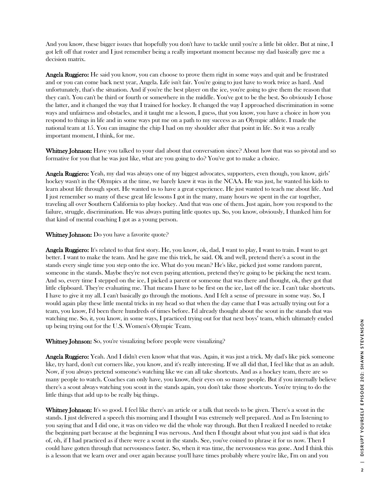And you know, these bigger issues that hopefully you don't have to tackle until you're a little bit older. But at nine, I got left off that roster and I just remember being a really important moment because my dad basically gave me a decision matrix.

**Angela Ruggiero:** He said you know, you can choose to prove them right in some ways and quit and be frustrated and or you can come back next year, Angela. Life isn't fair. You're going to just have to work twice as hard. And unfortunately, that's the situation. And if you're the best player on the ice, you're going to give them the reason that they can't. You can't be third or fourth or somewhere in the middle. You've got to be the best. So obviously I chose the latter, and it changed the way that I trained for hockey. It changed the way I approached discrimination in some ways and unfairness and obstacles, and it taught me a lesson, I guess, that you know, you have a choice in how you respond to things in life and in some ways put me on a path to my success as an Olympic athlete. I made the national team at 15. You can imagine the chip I had on my shoulder after that point in life. So it was a really important moment, I think, for me.

Whitney Johnson: Have you talked to your dad about that conversation since? About how that was so pivotal and so formative for you that he was just like, what are you going to do? You've got to make a choice.

Angela Ruggiero: Yeah, my dad was always one of my biggest advocates, supporters, even though, you know, girls' hockey wasn't in the Olympics at the time, we barely knew it was in the NCAA. He was just, he wanted his kids to learn about life through sport. He wanted us to have a great experience. He just wanted to teach me about life. And I just remember so many of these great life lessons I got in the many, many hours we spent in the car together, traveling all over Southern California to play hockey. And that was one of them. Just again, how you respond to the failure, struggle, discrimination. He was always putting little quotes up. So, you know, obviously, I thanked him for that kind of mental coaching I got as a young person.

Whitney Johnson: Do you have a favorite quote?

Angela Ruggiero: It's related to that first story. He, you know, ok, dad, I want to play, I want to train. I want to get better. I want to make the team. And he gave me this trick, he said. Ok and well, pretend there's a scout in the stands every single time you step onto the ice. What do you mean? He's like, picked just some random parent, someone in the stands. Maybe they're not even paying attention, pretend they're going to be picking the next team. And so, every time I stepped on the ice, I picked a parent or someone that was there and thought, ok, they got that little clipboard. They're evaluating me. That means I have to be first on the ice, last off the ice. I can't take shortcuts. I have to give it my all. I can't basically go through the motions. And I felt a sense of pressure in some way. So, I would again play these little mental tricks in my head so that when the day came that I was actually trying out for a team, you know, I'd been there hundreds of times before. I'd already thought about the scout in the stands that was watching me. So, it, you know, in some ways, I practiced trying out for that next boys' team, which ultimately ended up being trying out for the U.S. Women's Olympic Team.

Whitney Johnson: So, you're visualizing before people were visualizing?

Angela Ruggiero: Yeah. And I didn't even know what that was. Again, it was just a trick. My dad's like pick someone like, try hard, don't cut corners like, you know, and it's really interesting. If we all did that, I feel like that as an adult. Now, if you always pretend someone's watching like we can all take shortcuts. And as a hockey team, there are so many people to watch. Coaches can only have, you know, their eyes on so many people. But if you internally believe there's a scout always watching you scout in the stands again, you don't take those shortcuts. You're trying to do the little things that add up to be really big things.

Whitney Johnson: It's so good. I feel like there's an article or a talk that needs to be given. There's a scout in the stands. I just delivered a speech this morning and I thought I was extremely well prepared. And as I'm listening to you saying that and I did one, it was on video we did the whole way through. But then I realized I needed to retake the beginning part because at the beginning I was nervous. And then I thought about what you just said is that idea of, oh, if I had practiced as if there were a scout in the stands. See, you've coined to phrase it for us now. Then I could have gotten through that nervousness faster. So, when it was time, the nervousness was gone. And I think this is a lesson that we learn over and over again because you'll have times probably where you're like, I'm on and you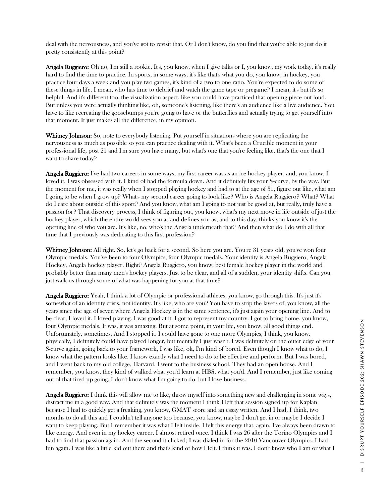deal with the nervousness, and you've got to revisit that. Or I don't know, do you find that you're able to just do it pretty consistently at this point?

Angela Ruggiero: Oh no, I'm still a rookie. It's, you know, when I give talks or I, you know, my work today, it's really hard to find the time to practice. In sports, in some ways, it's like that's what you do, you know, in hockey, you practice four days a week and you play two games, it's kind of a two to one ratio. You're expected to do some of these things in life. I mean, who has time to debrief and watch the game tape or pregame? I mean, it's but it's so helpful. And it's different too, the visualization aspect, like you could have practiced that opening piece out loud. But unless you were actually thinking like, oh, someone's listening, like there's an audience like a live audience. You have to like recreating the goosebumps you're going to have or the butterflies and actually trying to get yourself into that moment. It just makes all the difference, in my opinion.

Whitney Johnson: So, note to everybody listening. Put yourself in situations where you are replicating the nervousness as much as possible so you can practice dealing with it. What's been a Crucible moment in your professional life, post 21 and I'm sure you have many, but what's one that you're feeling like, that's the one that I want to share today?

Angela Ruggiero: I've had two careers in some ways, my first career was as an ice hockey player, and, you know, I loved it. I was obsessed with it. I kind of had the formula down. And it definitely fits your S-curve, by the way. But the moment for me, it was really when I stopped playing hockey and had to at the age of 31, figure out like, what am I going to be when I grow up? What's my second career going to look like? Who is Angela Ruggiero? What? What do I care about outside of this sport? And you know, what am I going to not just be good at, but really, truly have a passion for? That discovery process, I think of figuring out, you know, what's my next move in life outside of just the hockey player, which the entire world sees you as and defines you as, and to this day, thinks you know it's the opening line of who you are. It's like, no, who's the Angela underneath that? And then what do I do with all that time that I previously was dedicating to this first profession?

Whitney Johnson: All right. So, let's go back for a second. So here you are. You're 31 years old, you've won four Olympic medals. You've been to four Olympics, four Olympic medals. Your identity is Angela Ruggiero, Angela Hockey, Angela hockey player. Right? Angela Ruggiero, you know, best female hockey player in the world and probably better than many men's hockey players. Just to be clear, and all of a sudden, your identity shifts. Can you just walk us through some of what was happening for you at that time?

Angela Ruggiero: Yeah, I think a lot of Olympic or professional athletes, you know, go through this. It's just it's somewhat of an identity crisis, not identity. It's like, who are you? You have to strip the layers of, you know, all the years since the age of seven where Angela Hockey is in the same sentence, it's just again your opening line. And to be clear, I loved it. I loved playing. I was good at it. I got to represent my country. I got to bring home, you know, four Olympic medals. It was, it was amazing. But at some point, in your life, you know, all good things end. Unfortunately, sometimes. And I stopped it. I could have gone to one more Olympics, I think, you know, physically, I definitely could have played longer, but mentally I just wasn't. I was definitely on the outer edge of your S-curve again, going back to your framework, I was like, ok, I'm kind of bored. Even though I know what to do, I know what the pattern looks like. I know exactly what I need to do to be effective and perform. But I was bored, and I went back to my old college, Harvard. I went to the business school. They had an open house. And I remember, you know, they kind of walked what you'd learn at HBS, what you'd. And I remember, just like coming out of that fired up going, I don't know what I'm going to do, but I love business.

Angela Ruggiero: I think this will allow me to like, throw myself into something new and challenging in some ways, distract me in a good way. And that definitely was the moment I think I left that session signed up for Kaplan because I had to quickly get a freaking, you know, GMAT score and an essay written. And I had, I think, two months to do all this and I couldn't tell anyone too because, you know, maybe I don't get in or maybe I decide I want to keep playing. But I remember it was what I felt inside. I felt this energy that, again, I've always been drawn to like energy. And even in my hockey career, I almost retired once. I think I was 26 after the Torino Olympics and I had to find that passion again. And the second it clicked; I was dialed in for the 2010 Vancouver Olympics. I had fun again. I was like a little kid out there and that's kind of how I felt. I think it was. I don't know who I am or what I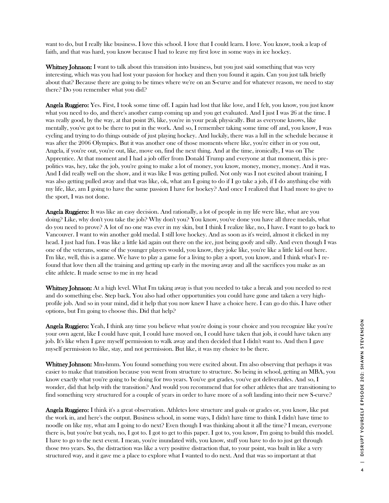want to do, but I really like business. I love this school. I love that I could learn. I love. You know, took a leap of faith, and that was hard, you know because I had to leave my first love in some ways in ice hockey.

Whitney Johnson: I want to talk about this transition into business, but you just said something that was very interesting, which was you had lost your passion for hockey and then you found it again. Can you just talk briefly about that? Because there are going to be times where we're on an S-curve and for whatever reason, we need to stay there? Do you remember what you did?

Angela Ruggiero: Yes. First, I took some time off. I again had lost that like love, and I felt, you know, you just know what you need to do, and there's another camp coming up and you get evaluated. And I just I was 26 at the time. I was really good, by the way, at that point 26, like, you're in your peak physically. But as everyone knows, like mentally, you've got to be there to put in the work. And so, I remember taking some time off and, you know, I was cycling and trying to do things outside of just playing hockey. And luckily, there was a lull in the schedule because it was after the 2006 Olympics. But it was another one of those moments where like, you're either in or you out, Angela, if you're out, you're out, like, move on, find the next thing. And at the time, ironically, I was on The Apprentice. At that moment and I had a job offer from Donald Trump and everyone at that moment, this is prepolitics was, hey, take the job, you're going to make a lot of money, you know, money, money, money. And it was. And I did really well on the show, and it was like I was getting pulled. Not only was I not excited about training, I was also getting pulled away and that was like, ok, what am I going to do if I go take a job, if I do anything else with my life, like, am I going to have the same passion I have for hockey? And once I realized that I had more to give to the sport, I was not done.

Angela Ruggiero: It was like an easy decision. And rationally, a lot of people in my life were like, what are you doing? Like, why don't you take the job? Why don't you? You know, you've done you have all three medals, what do you need to prove? A lot of no one was ever in my skin, but I think I realize like, no, I have. I want to go back to Vancouver. I want to win another gold medal. I still love hockey. And as soon as it's weird, almost it clicked in my head. I just had fun. I was like a little kid again out there on the ice, just being goofy and silly. And even though I was one of the veterans, some of the younger players would, you know, they joke like, you're like a little kid out here. I'm like, well, this is a game. We have to play a game for a living to play a sport, you know, and I think what's I refound that love then all the training and getting up early in the moving away and all the sacrifices you make as an elite athlete. It made sense to me in my head

Whitney Johnson: At a high level. What I'm taking away is that you needed to take a break and you needed to rest and do something else. Step back. You also had other opportunities you could have gone and taken a very highprofile job. And so in your mind, did it help that you now knew I have a choice here. I can go do this. I have other options, but I'm going to choose this. Did that help?

**Angela Ruggiero:** Yeah, I think any time you believe what you're doing is your choice and you recognize like you're your own agent, like I could have quit, I could have moved on, I could have taken that job, it could have taken any job. It's like when I gave myself permission to walk away and then decided that I didn't want to. And then I gave myself permission to like, stay, and not permission. But like, it was my choice to be there.

Whitney Johnson: Mm-hmm. You found something you were excited about. I'm also observing that perhaps it was easier to make that transition because you went from structure to structure. So being in school, getting an MBA, you know exactly what you're going to be doing for two years. You've got grades, you've got deliverables. And so, I wonder, did that help with the transition? And would you recommend that for other athletes that are transitioning to find something very structured for a couple of years in order to have more of a soft landing into their new S-curve?

Angela Ruggiero: I think it's a great observation. Athletes love structure and goals or grades or, you know, like put the work in, and here's the output. Business school, in some ways, I didn't have time to think I didn't have time to noodle on like my, what am I going to do next? Even though I was thinking about it all the time? I mean, everyone there is, but you're but yeah, no, I got to. I got to get to this paper. I got to, you know, I'm going to build this model. I have to go to the next event. I mean, you're inundated with, you know, stuff you have to do to just get through those two years. So, the distraction was like a very positive distraction that, to your point, was built in like a very structured way, and it gave me a place to explore what I wanted to do next. And that was so important at that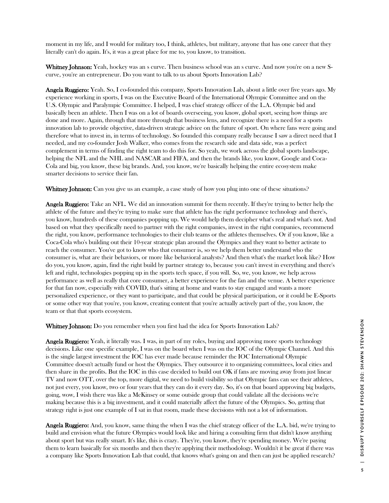moment in my life, and I would for military too, I think, athletes, but military, anyone that has one career that they literally can't do again. It's, it was a great place for me to, you know, to transition.

Whitney Johnson: Yeah, hockey was an s curve. Then business school was an s curve. And now you're on a new Scurve, you're an entrepreneur. Do you want to talk to us about Sports Innovation Lab?

Angela Ruggiero: Yeah. So, I co-founded this company, Sports Innovation Lab, about a little over five years ago. My experience working in sports, I was on the Executive Board of the International Olympic Committee and on the U.S. Olympic and Paralympic Committee. I helped, I was chief strategy officer of the L.A. Olympic bid and basically been an athlete. Then I was on a lot of boards overseeing, you know, global sport, seeing how things are done and more. Again, through that more through that business lens, and recognize there is a need for a sports innovation lab to provide objective, data-driven strategic advice on the future of sport. On where fans were going and therefore what to invest in, in terms of technology. So founded this company really because I saw a direct need that I needed, and my co-founder Josh Walker, who comes from the research side and data side, was a perfect complement in terms of finding the right team to do this for. So yeah, we work across the global sports landscape, helping the NFL and the NHL and NASCAR and FIFA, and then the brands like, you know, Google and Coca-Cola and big, you know, these big brands. And, you know, we're basically helping the entire ecosystem make smarter decisions to service their fan.

Whitney Johnson: Can you give us an example, a case study of how you plug into one of these situations?

**Angela Ruggiero:** Take an NFL. We did an innovation summit for them recently. If they're trying to better help the athlete of the future and they're trying to make sure that athlete has the right performance technology and there's, you know, hundreds of these companies popping up. We would help them decipher what's real and what's not. And based on what they specifically need to partner with the right companies, invest in the right companies, recommend the right, you know, performance technologies to their club teams or the athletes themselves. Or if you know, like a Coca-Cola who's building out their 10-year strategic plan around the Olympics and they want to better activate to reach the consumer. You've got to know who that consumer is, so we help them better understand who the consumer is, what are their behaviors, or more like behavioral analysts? And then what's the market look like? How do you, you know, again, find the right build by partner strategy to, because you can't invest in everything and there's left and right, technologies popping up in the sports tech space, if you will. So, we, you know, we help across performance as well as really that core consumer, a better experience for the fan and the venue. A better experience for that fan now, especially with COVID, that's sitting at home and wants to stay engaged and wants a more personalized experience, or they want to participate, and that could be physical participation, or it could be E-Sports or some other way that you're, you know, creating content that you're actually actively part of the, you know, the team or that that sports ecosystem.

Whitney Johnson: Do you remember when you first had the idea for Sports Innovation Lab?

Angela Ruggiero: Yeah, it literally was. I was, in part of my roles, buying and approving more sports technology decisions. Like one specific example, I was on the board when I was on the IOC of the Olympic Channel. And this is the single largest investment the IOC has ever made because reminder the IOC International Olympic Committee doesn't actually fund or host the Olympics. They outsource it to organizing committees, local cities and then share in the profits. But the IOC in this case decided to build out OK if fans are moving away from just linear TV and now OTT, over the top, more digital, we need to build visibility so that Olympic fans can see their athletes, not just every, you know, two or four years that they can do it every day. So, it's on that board approving big budgets, going, wow, I wish there was like a McKinsey or some outside group that could validate all the decisions we're making because this is a big investment, and it could materially affect the future of the Olympics. So, getting that strategy right is just one example of I sat in that room, made these decisions with not a lot of information.

Angela Ruggiero: And, you know, same thing the when I was the chief strategy officer of the L.A. bid, we're trying to build and envision what the future Olympics would look like and hiring a consulting firm that didn't know anything about sport but was really smart. It's like, this is crazy. They're, you know, they're spending money. We're paying them to learn basically for six months and then they're applying their methodology. Wouldn't it be great if there was a company like Sports Innovation Lab that could, that knows what's going on and then can just be applied research?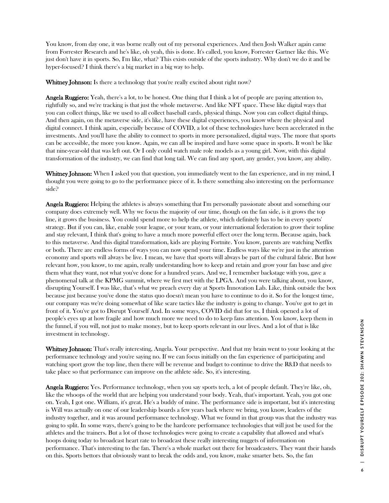You know, from day one, it was borne really out of my personal experiences. And then Josh Walker again came from Forrester Research and he's like, oh yeah, this is done. It's called, you know, Forrester Gartner like this. We just don't have it in sports. So, I'm like, what? This exists outside of the sports industry. Why don't we do it and be hyper-focused? I think there's a big market in a big way to help.

Whitney Johnson: Is there a technology that you're really excited about right now?

Angela Ruggiero: Yeah, there's a lot, to be honest. One thing that I think a lot of people are paying attention to, rightfully so, and we're tracking is that just the whole metaverse. And like NFT space. These like digital ways that you can collect things, like we used to all collect baseball cards, physical things. Now you can collect digital things. And then again, on the metaverse side, it's like, have these digital experiences, you know where the physical and digital connect. I think again, especially because of COVID, a lot of these technologies have been accelerated in the investments. And you'll have the ability to connect to sports in more personalized, digital ways. The more that sports can be accessible, the more you know. Again, we can all be inspired and have some space in sports. It won't be like that nine-year-old that was left out. Or I only could watch male role models as a young girl. Now, with this digital transformation of the industry, we can find that long tail. We can find any sport, any gender, you know, any ability.

Whitney Johnson: When I asked you that question, you immediately went to the fan experience, and in my mind, I thought you were going to go to the performance piece of it. Is there something also interesting on the performance side?

**Angela Ruggiero:** Helping the athletes is always something that I'm personally passionate about and something our company does extremely well. Why we focus the majority of our time, though on the fan side, is it grows the top line, it grows the business. You could spend more to help the athlete, which definitely has to be in every sports' strategy. But if you can, like, enable your league, or your team, or your international federation to grow their topline and stay relevant, I think that's going to have a much more powerful effect over the long term. Because again, back to this metaverse. And this digital transformation, kids are playing Fortnite. You know, parents are watching Netflix or both. There are endless forms of ways you can now spend your time. Endless ways like we're just in the attention economy and sports will always be live. I mean, we have that sports will always be part of the cultural fabric. But how relevant how, you know, to me again, really understanding how to keep and retain and grow your fan base and give them what they want, not what you've done for a hundred years. And we, I remember backstage with you, gave a phenomenal talk at the KPMG summit, where we first met with the LPGA. And you were talking about, you know, disrupting Yourself. I was like, that's what we preach every day at Sports Innovation Lab. Like, think outside the box because just because you've done the status quo doesn't mean you have to continue to do it. So for the longest time, our company was we're doing somewhat of like scare tactics like the industry is going to change. You've got to get in front of it. You've got to Disrupt Yourself And. In some ways, COVID did that for us. I think opened a lot of people's eyes up at how fragile and how much more we need to do to keep fans attention. You know, keep them in the funnel, if you will, not just to make money, but to keep sports relevant in our lives. And a lot of that is like investment in technology.

Whitney Johnson: That's really interesting, Angela. Your perspective. And that my brain went to your looking at the performance technology and you're saying no. If we can focus initially on the fan experience of participating and watching sport grow the top line, then there will be revenue and budget to continue to drive the R&D that needs to take place so that performance can improve on the athlete side. So, it's interesting.

Angela Ruggiero: Yes. Performance technology, when you say sports tech, a lot of people default. They're like, oh, like the whoops of the world that are helping you understand your body. Yeah, that's important. Yeah, you got one on. Yeah, I got one. William, it's great. He's a buddy of mine. The performance side is important, but it's interesting is Will was actually on one of our leadership boards a few years back where we bring, you know, leaders of the industry together, and it was around performance technology. What we found in that group was that the industry was going to split. In some ways, there's going to be the hardcore performance technologies that will just be used for the athletes and the trainers. But a lot of those technologies were going to create a capability that allowed and what's hoops doing today to broadcast heart rate to broadcast these really interesting nuggets of information on performance. That's interesting to the fan. There's a whole market out there for broadcasters. They want their hands on this. Sports bettors that obviously want to break the odds and, you know, make smarter bets. So, the fan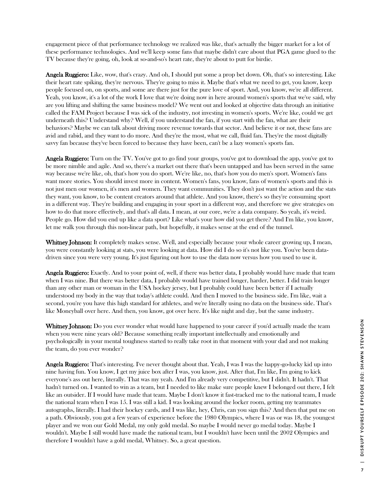engagement piece of that performance technology we realized was like, that's actually the bigger market for a lot of these performance technologies. And we'll keep some fans that maybe didn't care about that PGA game glued to the TV because they're going, oh, look at so-and-so's heart rate, they're about to putt for birdie.

Angela Ruggiero: Like, wow, that's crazy. And oh, I should put some a prop bet down. Oh, that's so interesting. Like their heart rate spiking, they're nervous. They're going to miss it. Maybe that's what we need to get, you know, keep people focused on, on sports, and some are there just for the pure love of sport. And, you know, we're all different. Yeah, you know, it's a lot of the work I love that we're doing now in here around women's sports that we've said, why are you lifting and shifting the same business model? We went out and looked at objective data through an initiative called the FAM Project because I was sick of the industry, not investing in women's sports. We're like, could we get underneath this? Understand why? Well, if you understand the fan, if you start with the fan, what are their behaviors? Maybe we can talk about driving more revenue towards that sector. And believe it or not, these fans are avid and rabid, and they want to do more. And they're the most, what we call, fluid fan. They're the most digitally savvy fan because they've been forced to because they have been, can't be a lazy women's sports fan.

**Angela Ruggiero:** Turn on the TV. You've got to go find your groups, you've got to download the app, you've got to be more nimble and agile. And so, there's a market out there that's been untapped and has been served in the same way because we're like, oh, that's how you do sport. We're like, no, that's how you do men's sport. Women's fans want more stories. You should invest more in content. Women's fans, you know, fans of women's sports and this is not just men our women, it's men and women. They want communities. They don't just want the action and the stats they want, you know, to be content creators around that athlete. And you know, there's so they're consuming sport in a different way. They're building and engaging in your sport in a different way, and therefore we give strategies on how to do that more effectively, and that's all data. I mean, at our core, we're a data company. So yeah, it's weird. People go. How did you end up like a data sport? Like what's your how did you get there? And I'm like, you know, let me walk you through this non-linear path, but hopefully, it makes sense at the end of the tunnel.

Whitney Johnson: It completely makes sense. Well, and especially because your whole career growing up, I mean, you were constantly looking at stats, you were looking at data. How did I do so it's not like you. You've been datadriven since you were very young. It's just figuring out how to use the data now versus how you used to use it.

Angela Ruggiero: Exactly. And to your point of, well, if there was better data, I probably would have made that team when I was nine. But there was better data, I probably would have trained longer, harder, better. I did train longer than any other man or woman in the USA hockey jersey, but I probably could have been better if I actually understood my body in the way that today's athlete could. And then I moved to the business side. I'm like, wait a second, you're you have this high standard for athletes, and we're literally using no data on the business side. That's like Moneyball over here. And then, you know, got over here. It's like night and day, but the same industry.

**Whitney Johnson:** Do you ever wonder what would have happened to your career if you'd actually made the team when you were nine years old? Because something really important intellectually and emotionally and psychologically in your mental toughness started to really take root in that moment with your dad and not making the team, do you ever wonder?

Angela Ruggiero: That's interesting. I've never thought about that. Yeah, I was I was the happy-go-lucky kid up into nine having fun. You know, I get my juice box after I was, you know, just. After that, I'm like, I'm going to kick everyone's ass out here, literally. That was my yeah. And I'm already very competitive, but I didn't. It hadn't. That hadn't turned on. I wanted to win as a team, but I needed to like make sure people knew I belonged out there, I felt like an outsider. If I would have made that team. Maybe I don't know it fast-tracked me to the national team, I made the national team when I was 15. I was still a kid. I was looking around the locker room, getting my teammates autographs, literally. I had their hockey cards, and I was like, hey, Chris, can you sign this? And then that put me on a path. Obviously, you got a few years of experience before the 1980 Olympics, where I was or was 18, the youngest player and we won our Gold Medal, my only gold medal. So maybe I would never go medal today. Maybe I wouldn't. Maybe I still would have made the national team, but I wouldn't have been until the 2002 Olympics and therefore I wouldn't have a gold medal, Whitney. So, a great question.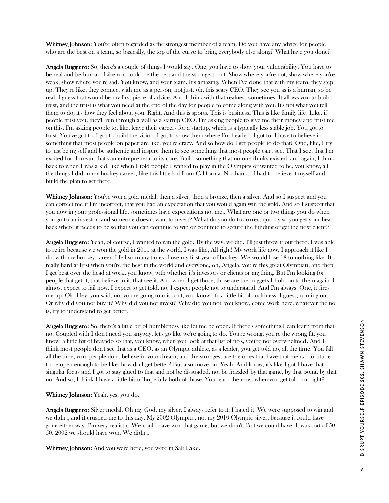Whitney Johnson: You're often regarded as the strongest member of a team. Do you have any advice for people who are the best on a team, so basically, the top of the curve to bring everybody else along? What have you done?

Angela Ruggiero: So, there's a couple of things I would say. One, you have to show your vulnerability. You have to be real and be human. Like you could be the best and the strongest, but. Show where you're not, show where you're weak, show where you're sad. You know, and your team. It's amazing. When I've done that with my team, they step up. They're like, they connect with me as a person, not just, oh, this scary CEO. They see you as is a human, so be real. I guess that would be my first piece of advice. And I think with that realness sometimes. It allows you to build trust, and the trust is what you need at the end of the day for people to come along with you. It's not what you tell them to do, it's how they feel about you. Right. And this is sports. This is business. This is like family life. Like, if people trust you, they'll run through a wall as a startup CEO. I'm asking people to give me their money and trust me on this. I'm asking people to, like, leave their careers for a startup, which is a typically less stable job. You got to trust. You've got to. I got to build the vision. I got to show them where I'm headed. I got to. I have to believe in something that most people on paper are like, you're crazy. And so how do I get people to do that? One, like, I try to just be myself and be authentic and inspire them to see something that most people can't see. That I see, that I'm excited for. I mean, that's an entrepreneur to its core. Build something that no one thinks existed, and again, I think back to when I was a kid, like when I told people I wanted to play in the Olympics or wanted to be, you know, all the things I did in my hockey career, like this little kid from California. No thanks. I had to believe it myself and build the plan to get there.

Whitney Johnson: You've won a gold medal, then a silver, then a bronze, then a silver. And so I suspect and you can correct me if I'm incorrect, that you had an expectation that you would again win the gold. And so I suspect that you now in your professional life, sometimes have expectations not met. What are one or two things you do when you go to an investor, and someone doesn't want to invest? What do you do to correct quickly so you get your head back where it needs to be so that you can continue to win or continue to secure the funding or get the next client?

Angela Ruggiero: Yeah, of course, I wanted to win the gold. By the way, we did. I'll just throw it out there, I was able to retire because we won the gold in 2011 at the world. I was like, All right! My work life now, I approach it like I did with my hockey career. I fell so many times. I use my first year of hockey. We would lose 18 to nothing like. It's really hard at first when you're the best in the world and everyone, oh, Angela, you're this great Olympian, and then I get beat over the head at work, you know, with whether it's investors or clients or anything. But I'm looking for people that get it, that believe in it, that see it. And when I get those, those are the nuggets I hold on to them again. I almost expect to fail now. I expect to get told, no, I expect people not to understand. And I'm always. One, it fires me up. Ok. Hey, you said, no, you're going to miss out, you know, it's a little bit of cockiness, I guess, coming out. Or why did you not buy it? Why did you not invest? Why did you not, you know, come work here, whatever the no is, try to understand to get better.

Angela Ruggiero: So, there's a little bit of humbleness like let me be open. If there's something I can learn from that no. Coupled with I don't need you anyway, let's go like we're going to do. You're wrong, you're the wrong fit, you know, a little bit of bravado so that, you know, when you look at that list of no's, you're not overwhelmed. And I think most people don't see that as a CEO, as an Olympic athlete, as a leader, you get told no, all the time. You fall all the time, you, people don't believe in your dream, and the strongest are the ones that have that mental fortitude to be open enough to be like, how do I get better? But also move on. Yeah. And know, it's like I got I have that singular focus and I got to stay glued to that and not be dissuaded, not be frazzled by that game, by that point, by that no. And so, I think I have a little bit of hopefully both of those. You learn the most when you get told no, right?

## Whitney Johnson: Yeah, yes, you do.

Angela Ruggiero: Silver medal. Oh my God, my silver, I always refer to it. I hated it. We were supposed to win and we didn't, and it crushed me to this day. My 2002 Olympics, not my 2010 Olympic silver, because it could have gone either way. I'm very realistic. We could have won that game, but we didn't. But we could have. It was sort of 50- 50. 2002 we should have won. We didn't.

Whitney Johnson: And you were here, you were in Salt Lake.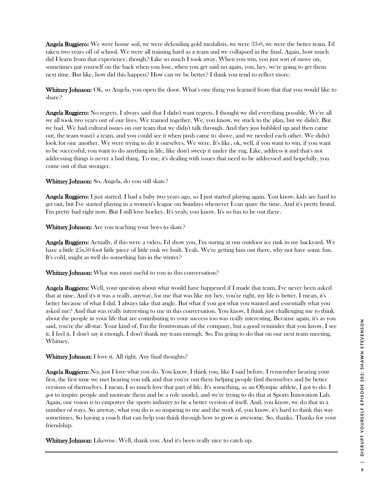Angela Ruggiero: We were home soil, we were defending gold medalists, we were 33-0, we were the better team. I'd taken two years off of school. We were all training hard as a team and we collapsed in the final. Again, how much did I learn from that experience, though? Like so much I took away. When you win, you just sort of move on, sometimes pat yourself on the back when you lose, when you get said no again, you, hey, we're going to get them next time. But like, how did this happen? How can we be better? I think you tend to reflect more.

Whitney Johnson: Ok, so Angela, you open the door. What's one thing you learned from that that you would like to share?

Angela Ruggiero: No regrets. I always said that I didn't want regrets. I thought we did everything possible. We're all we all took two years out of our lives. We trained together. We, you know, we stuck to the plan, but we didn't. But we had. We had cultural issues on our team that we didn't talk through. And they just bubbled up and then came out, the team wasn't a team, and you could see it when push came to shove, and we needed each other. We didn't look for one another. We were trying to do it ourselves. We were. It's like, ok, well, if you want to win, if you want to be successful, you want to do anything in life, like don't sweep it under the rug. Like, address it and that's not addressing things is never a bad thing. To me, it's dealing with issues that need to be addressed and hopefully, you come out of that stronger.

Whitney Johnson: So, Angela, do you still skate?

Angela Ruggiero: I just started. I had a baby two years ago, so I just started playing again. You know, kids are hard to get out, but I've started playing in a women's league on Sundays whenever I can spare the time. And it's pretty brutal. I'm pretty bad right now. But I still love hockey. It's yeah, you know. It's so fun to be out there.

Whitney Johnson: Are you teaching your boys to skate?

Angela Ruggiero: Actually, if this were a video, I'd show you, I'm staring at our outdoor ice rink in my backyard. We have a little 25x50 foot little piece of little rink we built. Yeah. We're getting him out there, why not have some fun. It's cold, might as well do something fun in the winter?

Whitney Johnson: What was most useful to you in this conversation?

**Angela Ruggiero:** Well, your question about what would have happened if I made that team, I've never been asked that at nine. And it's it was a really, anyway, for me that was like my hey, you're right, my life is better. I mean, it's better because of what I did. I always take that angle. But what if you got what you wanted and essentially what you asked me? And that was really interesting to me in this conversation. You know, I think just challenging me to think about the people in your life that are contributing to your success too was really interesting. Because again, it's as you said, you're the all-star. Your kind of, I'm the frontwoman of the company, but a good reminder that you know, I see it. I feel it. I don't say it enough. I don't thank my team enough. So, I'm going to do that on our next team meeting, Whitney.

Whitney Johnson: I love it. All right. Any final thoughts?

Angela Ruggiero: No, just I love what you do. You know, I think you, like I said before, I remember hearing your first, the first time we met hearing you talk and that you're out there helping people find themselves and be better versions of themselves. I mean, I so much love that part of life. It's something, as an Olympic athlete, I got to do. I got to inspire people and motivate them and be a role model, and we're trying to do that at Sports Innovation Lab. Again, our vision is to empower the sports industry to be a better version of itself. And, you know, we do that in a number of ways. So anyway, what you do is so inspiring to me and the work of, you know, it's hard to think this way sometimes. So having a coach that can help you think through how to grow is awesome. So, thanks. Thanks for your friendship.

Whitney Johnson: Likewise. Well, thank you. And it's been really nice to catch up.